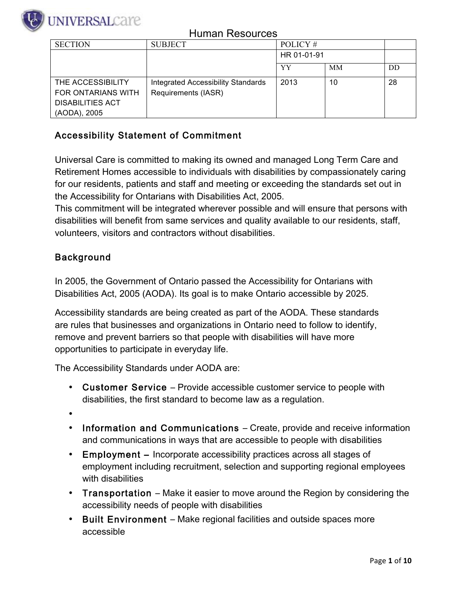

| <b>SECTION</b>          | <b>SUBJECT</b>                     | POLICY #    |           |    |
|-------------------------|------------------------------------|-------------|-----------|----|
|                         |                                    | HR 01-01-91 |           |    |
|                         |                                    | YY          | <b>MM</b> | DD |
| THE ACCESSIBILITY       | Integrated Accessibility Standards | 2013        | 10        | 28 |
| FOR ONTARIANS WITH      | Requirements (IASR)                |             |           |    |
| <b>DISABILITIES ACT</b> |                                    |             |           |    |
| (AODA), 2005            |                                    |             |           |    |

#### Accessibility Statement of Commitment

Universal Care is committed to making its owned and managed Long Term Care and Retirement Homes accessible to individuals with disabilities by compassionately caring for our residents, patients and staff and meeting or exceeding the standards set out in the Accessibility for Ontarians with Disabilities Act, 2005.

This commitment will be integrated wherever possible and will ensure that persons with disabilities will benefit from same services and quality available to our residents, staff, volunteers, visitors and contractors without disabilities.

#### Background

In 2005, the Government of Ontario passed the Accessibility for Ontarians with Disabilities Act, 2005 (AODA). Its goal is to make Ontario accessible by 2025.

Accessibility standards are being created as part of the AODA. These standards are rules that businesses and organizations in Ontario need to follow to identify, remove and prevent barriers so that people with disabilities will have more opportunities to participate in everyday life.

The Accessibility Standards under AODA are:

- Customer Service Provide accessible customer service to people with disabilities, the first standard to become law as a regulation.
- •
- Information and Communications Create, provide and receive information and communications in ways that are accessible to people with disabilities
- Employment Incorporate accessibility practices across all stages of employment including recruitment, selection and supporting regional employees with disabilities
- Transportation Make it easier to move around the Region by considering the accessibility needs of people with disabilities
- Built Environment Make regional facilities and outside spaces more accessible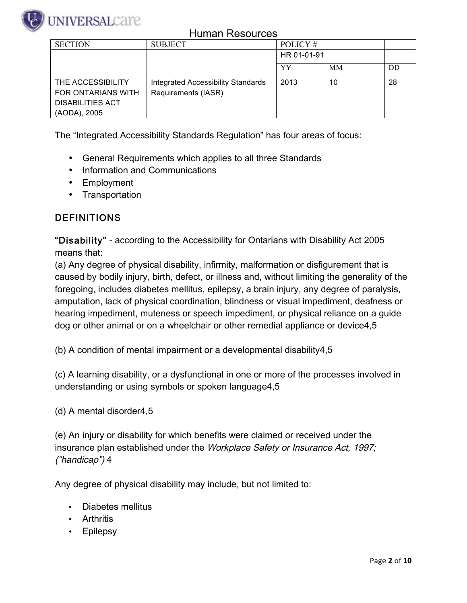

| <b>SECTION</b>          | <b>SUBJECT</b>                            | POLICY #    |           |    |
|-------------------------|-------------------------------------------|-------------|-----------|----|
|                         |                                           | HR 01-01-91 |           |    |
|                         |                                           | YY          | <b>MM</b> | DD |
| THE ACCESSIBILITY       | <b>Integrated Accessibility Standards</b> | 2013        | 10        | 28 |
| FOR ONTARIANS WITH      | Requirements (IASR)                       |             |           |    |
| <b>DISABILITIES ACT</b> |                                           |             |           |    |
| (AODA), 2005            |                                           |             |           |    |

The "Integrated Accessibility Standards Regulation" has four areas of focus:

- General Requirements which applies to all three Standards
- Information and Communications
- Employment
- Transportation

#### DEFINITIONS

"Disability" - according to the Accessibility for Ontarians with Disability Act 2005 means that:

(a) Any degree of physical disability, infirmity, malformation or disfigurement that is caused by bodily injury, birth, defect, or illness and, without limiting the generality of the foregoing, includes diabetes mellitus, epilepsy, a brain injury, any degree of paralysis, amputation, lack of physical coordination, blindness or visual impediment, deafness or hearing impediment, muteness or speech impediment, or physical reliance on a guide dog or other animal or on a wheelchair or other remedial appliance or device4,5

(b) A condition of mental impairment or a developmental disability4,5

(c) A learning disability, or a dysfunctional in one or more of the processes involved in understanding or using symbols or spoken language4,5

(d) A mental disorder4,5

(e) An injury or disability for which benefits were claimed or received under the insurance plan established under the Workplace Safety or Insurance Act, 1997; ("handicap") 4

Any degree of physical disability may include, but not limited to:

- Diabetes mellitus
- Arthritis
- **Epilepsy**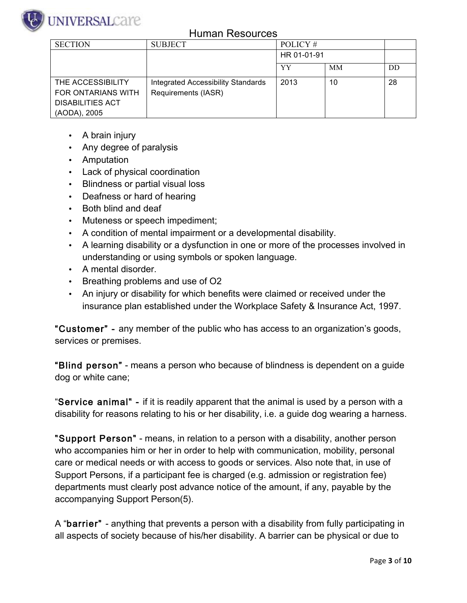

| <b>SECTION</b>          | <b>SUBJECT</b>                     | POLICY #    |           |    |
|-------------------------|------------------------------------|-------------|-----------|----|
|                         |                                    | HR 01-01-91 |           |    |
|                         |                                    | YY          | <b>MM</b> | DD |
| THE ACCESSIBILITY       | Integrated Accessibility Standards | 2013        | 10        | 28 |
| FOR ONTARIANS WITH      | Requirements (IASR)                |             |           |    |
| <b>DISABILITIES ACT</b> |                                    |             |           |    |
| (AODA), 2005            |                                    |             |           |    |

- A brain injury
- Any degree of paralysis
- Amputation
- Lack of physical coordination
- Blindness or partial visual loss
- Deafness or hard of hearing
- Both blind and deaf
- Muteness or speech impediment;
- A condition of mental impairment or a developmental disability.
- A learning disability or a dysfunction in one or more of the processes involved in understanding or using symbols or spoken language.
- A mental disorder.
- Breathing problems and use of O2
- An injury or disability for which benefits were claimed or received under the insurance plan established under the Workplace Safety & Insurance Act, 1997.

"Customer" - any member of the public who has access to an organization's goods, services or premises.

"Blind person" - means a person who because of blindness is dependent on a guide dog or white cane;

"Service animal" - if it is readily apparent that the animal is used by a person with a disability for reasons relating to his or her disability, i.e. a guide dog wearing a harness.

"Support Person" - means, in relation to a person with a disability, another person who accompanies him or her in order to help with communication, mobility, personal care or medical needs or with access to goods or services. Also note that, in use of Support Persons, if a participant fee is charged (e.g. admission or registration fee) departments must clearly post advance notice of the amount, if any, payable by the accompanying Support Person(5).

A "barrier" - anything that prevents a person with a disability from fully participating in all aspects of society because of his/her disability. A barrier can be physical or due to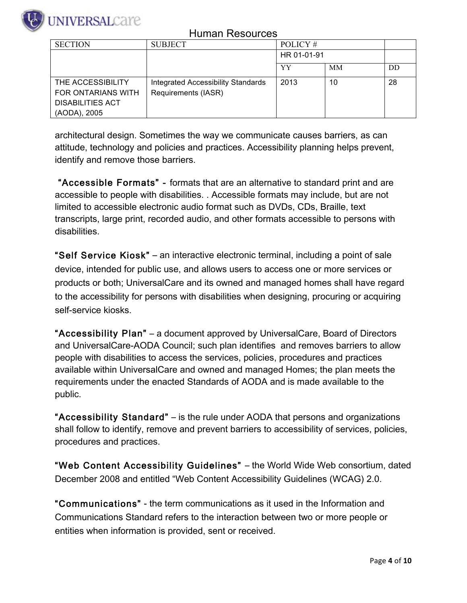

# VIVERSALCare

#### Human Resources

| <b>SECTION</b>          | <b>SUBJECT</b>                     | POLICY#     |           |    |
|-------------------------|------------------------------------|-------------|-----------|----|
|                         |                                    | HR 01-01-91 |           |    |
|                         |                                    | YY          | <b>MM</b> | DD |
| THE ACCESSIBILITY       | Integrated Accessibility Standards | 2013        | 10        | 28 |
| FOR ONTARIANS WITH      | Requirements (IASR)                |             |           |    |
| <b>DISABILITIES ACT</b> |                                    |             |           |    |
| (AODA), 2005            |                                    |             |           |    |

architectural design. Sometimes the way we communicate causes barriers, as can attitude, technology and policies and practices. Accessibility planning helps prevent, identify and remove those barriers.

 "Accessible Formats" - formats that are an alternative to standard print and are accessible to people with disabilities. . Accessible formats may include, but are not limited to accessible electronic audio format such as DVDs, CDs, Braille, text transcripts, large print, recorded audio, and other formats accessible to persons with disabilities.

"Self Service Kiosk" ‒ an interactive electronic terminal, including a point of sale device, intended for public use, and allows users to access one or more services or products or both; UniversalCare and its owned and managed homes shall have regard to the accessibility for persons with disabilities when designing, procuring or acquiring self-service kiosks.

"Accessibility Plan" ‒ a document approved by UniversalCare, Board of Directors and UniversalCare-AODA Council; such plan identifies and removes barriers to allow people with disabilities to access the services, policies, procedures and practices available within UniversalCare and owned and managed Homes; the plan meets the requirements under the enacted Standards of AODA and is made available to the public.

"Accessibility Standard" ‒ is the rule under AODA that persons and organizations shall follow to identify, remove and prevent barriers to accessibility of services, policies, procedures and practices.

"Web Content Accessibility Guidelines" ‒ the World Wide Web consortium, dated December 2008 and entitled "Web Content Accessibility Guidelines (WCAG) 2.0.

"Communications" - the term communications as it used in the Information and Communications Standard refers to the interaction between two or more people or entities when information is provided, sent or received.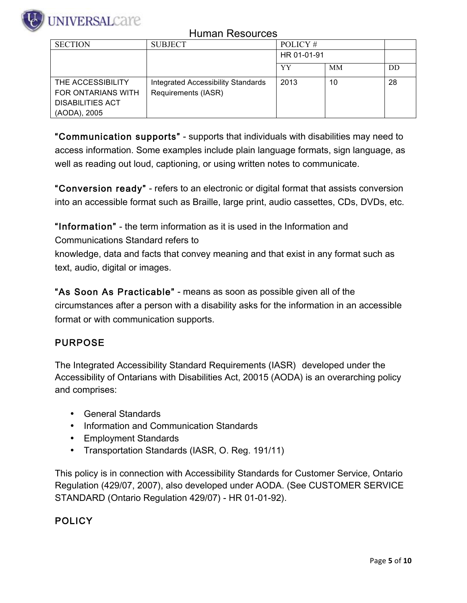

| <b>SECTION</b>          | <b>SUBJECT</b>                     | POLICY #    |           |    |
|-------------------------|------------------------------------|-------------|-----------|----|
|                         |                                    | HR 01-01-91 |           |    |
|                         |                                    | YY          | <b>MM</b> | DD |
| THE ACCESSIBILITY       | Integrated Accessibility Standards | 2013        | 10        | 28 |
| FOR ONTARIANS WITH      | Requirements (IASR)                |             |           |    |
| <b>DISABILITIES ACT</b> |                                    |             |           |    |
| (AODA), 2005            |                                    |             |           |    |

"Communication supports" - supports that individuals with disabilities may need to access information. Some examples include plain language formats, sign language, as well as reading out loud, captioning, or using written notes to communicate.

"Conversion ready" - refers to an electronic or digital format that assists conversion into an accessible format such as Braille, large print, audio cassettes, CDs, DVDs, etc.

"Information" - the term information as it is used in the Information and

Communications Standard refers to

knowledge, data and facts that convey meaning and that exist in any format such as text, audio, digital or images.

"As Soon As Practicable" - means as soon as possible given all of the circumstances after a person with a disability asks for the information in an accessible format or with communication supports.

### PURPOSE

The Integrated Accessibility Standard Requirements (IASR) developed under the Accessibility of Ontarians with Disabilities Act, 20015 (AODA) is an overarching policy and comprises:

- General Standards
- Information and Communication Standards
- Employment Standards
- Transportation Standards (IASR, O. Reg. 191/11)

This policy is in connection with Accessibility Standards for Customer Service, Ontario Regulation (429/07, 2007), also developed under AODA. (See CUSTOMER SERVICE STANDARD (Ontario Regulation 429/07) - HR 01-01-92).

#### **POLICY**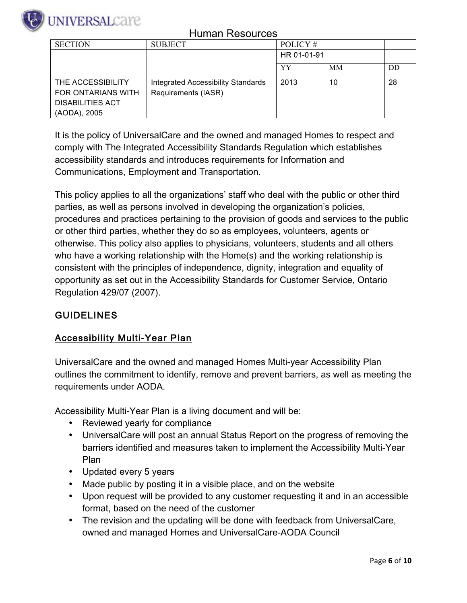

| <b>SECTION</b>          | <b>SUBJECT</b>                     | POLICY#     |           |    |
|-------------------------|------------------------------------|-------------|-----------|----|
|                         |                                    | HR 01-01-91 |           |    |
|                         |                                    | YY          | <b>MM</b> | DD |
| THE ACCESSIBILITY       | Integrated Accessibility Standards | 2013        | 10        | 28 |
| FOR ONTARIANS WITH      | Requirements (IASR)                |             |           |    |
| <b>DISABILITIES ACT</b> |                                    |             |           |    |
| (AODA), 2005            |                                    |             |           |    |

It is the policy of UniversalCare and the owned and managed Homes to respect and comply with The Integrated Accessibility Standards Regulation which establishes accessibility standards and introduces requirements for Information and Communications, Employment and Transportation.

This policy applies to all the organizations' staff who deal with the public or other third parties, as well as persons involved in developing the organization's policies, procedures and practices pertaining to the provision of goods and services to the public or other third parties, whether they do so as employees, volunteers, agents or otherwise. This policy also applies to physicians, volunteers, students and all others who have a working relationship with the Home(s) and the working relationship is consistent with the principles of independence, dignity, integration and equality of opportunity as set out in the Accessibility Standards for Customer Service, Ontario Regulation 429/07 (2007).

### **GUIDELINES**

#### Accessibility Multi-Year Plan

UniversalCare and the owned and managed Homes Multi-year Accessibility Plan outlines the commitment to identify, remove and prevent barriers, as well as meeting the requirements under AODA.

Accessibility Multi-Year Plan is a living document and will be:

- Reviewed yearly for compliance
- UniversalCare will post an annual Status Report on the progress of removing the barriers identified and measures taken to implement the Accessibility Multi-Year Plan
- Updated every 5 years
- Made public by posting it in a visible place, and on the website
- Upon request will be provided to any customer requesting it and in an accessible format, based on the need of the customer
- The revision and the updating will be done with feedback from UniversalCare, owned and managed Homes and UniversalCare-AODA Council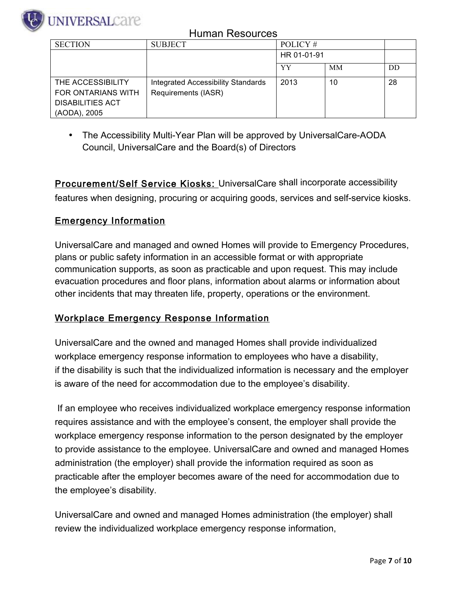

| <b>SECTION</b>          | <b>SUBJECT</b>                            | POLICY #    |    |    |
|-------------------------|-------------------------------------------|-------------|----|----|
|                         |                                           | HR 01-01-91 |    |    |
|                         |                                           | YY          | MМ | DD |
| THE ACCESSIBILITY       | <b>Integrated Accessibility Standards</b> | 2013        | 10 | 28 |
| FOR ONTARIANS WITH      | Requirements (IASR)                       |             |    |    |
| <b>DISABILITIES ACT</b> |                                           |             |    |    |
| (AODA), 2005            |                                           |             |    |    |

• The Accessibility Multi-Year Plan will be approved by UniversalCare-AODA Council, UniversalCare and the Board(s) of Directors

**Procurement/Self Service Kiosks:** UniversalCare shall incorporate accessibility features when designing, procuring or acquiring goods, services and self-service kiosks.

#### Emergency Information

UniversalCare and managed and owned Homes will provide to Emergency Procedures, plans or public safety information in an accessible format or with appropriate communication supports, as soon as practicable and upon request. This may include evacuation procedures and floor plans, information about alarms or information about other incidents that may threaten life, property, operations or the environment.

#### Workplace Emergency Response Information

UniversalCare and the owned and managed Homes shall provide individualized workplace emergency response information to employees who have a disability, if the disability is such that the individualized information is necessary and the employer is aware of the need for accommodation due to the employee's disability.

 If an employee who receives individualized workplace emergency response information requires assistance and with the employee's consent, the employer shall provide the workplace emergency response information to the person designated by the employer to provide assistance to the employee. UniversalCare and owned and managed Homes administration (the employer) shall provide the information required as soon as practicable after the employer becomes aware of the need for accommodation due to the employee's disability.

UniversalCare and owned and managed Homes administration (the employer) shall review the individualized workplace emergency response information,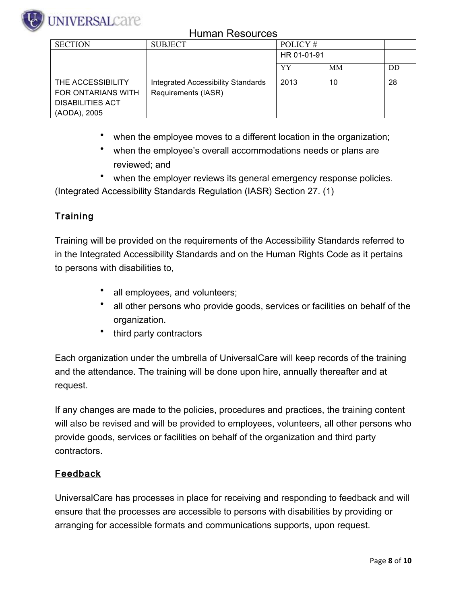

| <b>SECTION</b>          | <b>SUBJECT</b>                            | POLICY#     |           |    |
|-------------------------|-------------------------------------------|-------------|-----------|----|
|                         |                                           | HR 01-01-91 |           |    |
|                         |                                           | YY          | <b>MM</b> | DD |
| THE ACCESSIBILITY       | <b>Integrated Accessibility Standards</b> | 2013        | 10        | 28 |
| FOR ONTARIANS WITH      | Requirements (IASR)                       |             |           |    |
| <b>DISABILITIES ACT</b> |                                           |             |           |    |
| (AODA), 2005            |                                           |             |           |    |

- when the employee moves to a different location in the organization;
- when the employee's overall accommodations needs or plans are reviewed; and
- when the employer reviews its general emergency response policies.

(Integrated Accessibility Standards Regulation (IASR) Section 27. (1)

### **Training**

Training will be provided on the requirements of the Accessibility Standards referred to in the Integrated Accessibility Standards and on the Human Rights Code as it pertains to persons with disabilities to,

- all employees, and volunteers;
- all other persons who provide goods, services or facilities on behalf of the organization.
- third party contractors

Each organization under the umbrella of UniversalCare will keep records of the training and the attendance. The training will be done upon hire, annually thereafter and at request.

If any changes are made to the policies, procedures and practices, the training content will also be revised and will be provided to employees, volunteers, all other persons who provide goods, services or facilities on behalf of the organization and third party contractors.

#### Feedback

UniversalCare has processes in place for receiving and responding to feedback and will ensure that the processes are accessible to persons with disabilities by providing or arranging for accessible formats and communications supports, upon request.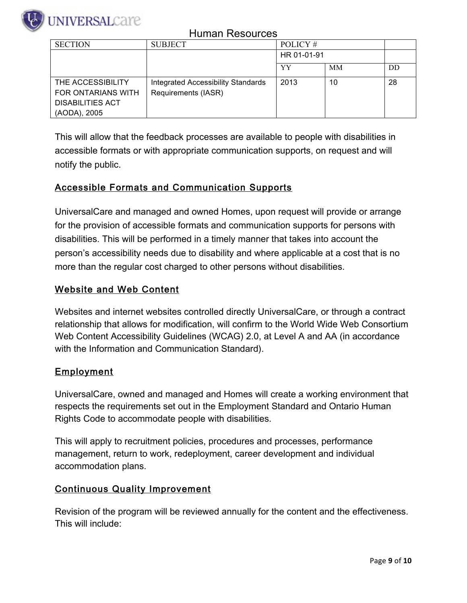

| <b>SECTION</b>          | <b>SUBJECT</b>                     | POLICY#     |           |    |
|-------------------------|------------------------------------|-------------|-----------|----|
|                         |                                    | HR 01-01-91 |           |    |
|                         |                                    | YY          | <b>MM</b> | DD |
| THE ACCESSIBILITY       | Integrated Accessibility Standards | 2013        | 10        | 28 |
| FOR ONTARIANS WITH      | Requirements (IASR)                |             |           |    |
| <b>DISABILITIES ACT</b> |                                    |             |           |    |
| (AODA), 2005            |                                    |             |           |    |

This will allow that the feedback processes are available to people with disabilities in accessible formats or with appropriate communication supports, on request and will notify the public.

#### Accessible Formats and Communication Supports

UniversalCare and managed and owned Homes, upon request will provide or arrange for the provision of accessible formats and communication supports for persons with disabilities. This will be performed in a timely manner that takes into account the person's accessibility needs due to disability and where applicable at a cost that is no more than the regular cost charged to other persons without disabilities.

#### Website and Web Content

Websites and internet websites controlled directly UniversalCare, or through a contract relationship that allows for modification, will confirm to the World Wide Web Consortium Web Content Accessibility Guidelines (WCAG) 2.0, at Level A and AA (in accordance with the Information and Communication Standard).

#### Employment

UniversalCare, owned and managed and Homes will create a working environment that respects the requirements set out in the Employment Standard and Ontario Human Rights Code to accommodate people with disabilities.

This will apply to recruitment policies, procedures and processes, performance management, return to work, redeployment, career development and individual accommodation plans.

#### Continuous Quality Improvement

Revision of the program will be reviewed annually for the content and the effectiveness. This will include: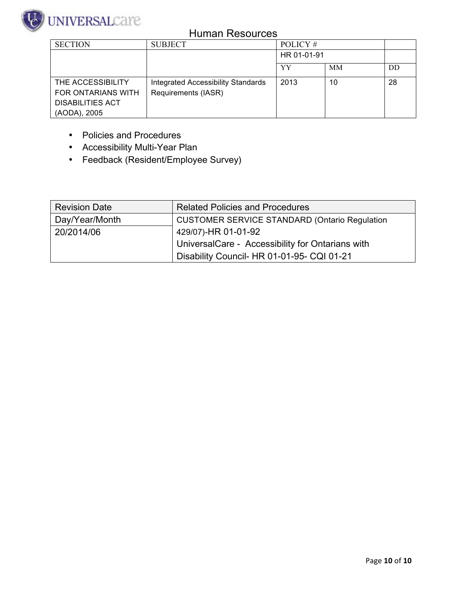

| <b>SECTION</b>          | <b>SUBJECT</b>                            | POLICY#     |    |    |
|-------------------------|-------------------------------------------|-------------|----|----|
|                         |                                           | HR 01-01-91 |    |    |
|                         |                                           | YY          | MМ | DD |
| THE ACCESSIBILITY       | <b>Integrated Accessibility Standards</b> | 2013        | 10 | 28 |
| FOR ONTARIANS WITH      | Requirements (IASR)                       |             |    |    |
| <b>DISABILITIES ACT</b> |                                           |             |    |    |
| (AODA), 2005            |                                           |             |    |    |

- Policies and Procedures
- Accessibility Multi-Year Plan
- Feedback (Resident/Employee Survey)

| <b>Revision Date</b> | <b>Related Policies and Procedures</b>               |
|----------------------|------------------------------------------------------|
| Day/Year/Month       | <b>CUSTOMER SERVICE STANDARD (Ontario Regulation</b> |
| 20/2014/06           | 429/07)-HR 01-01-92                                  |
|                      | UniversalCare - Accessibility for Ontarians with     |
|                      | Disability Council- HR 01-01-95- CQI 01-21           |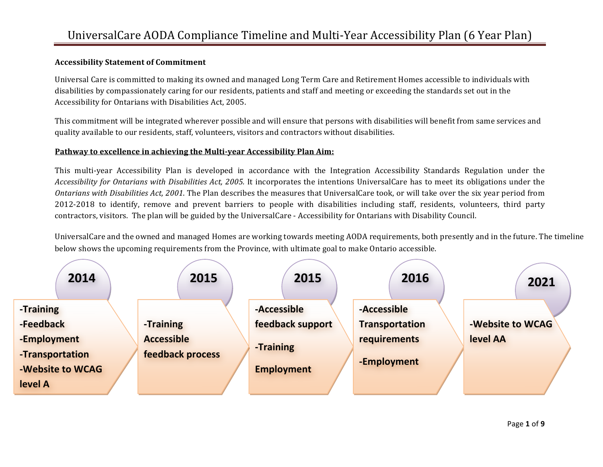#### **Accessibility Statement of Commitment**

Universal Care is committed to making its owned and managed Long Term Care and Retirement Homes accessible to individuals with disabilities by compassionately caring for our residents, patients and staff and meeting or exceeding the standards set out in the Accessibility for Ontarians with Disabilities Act, 2005.

This commitment will be integrated wherever possible and will ensure that persons with disabilities will benefit from same services and quality available to our residents, staff, volunteers, visitors and contractors without disabilities.

#### Pathway to excellence in achieving the Multi-year Accessibility Plan Aim:

This multi-year Accessibility Plan is developed in accordance with the Integration Accessibility Standards Regulation under the *Accessibility for Ontarians with Disabilities Act, 2005.* It incorporates the intentions UniversalCare has to meet its obligations under the *Ontarians with Disabilities Act, 2001*. The Plan describes the measures that UniversalCare took, or will take over the six year period from 2012-2018 to identify, remove and prevent barriers to people with disabilities including staff, residents, volunteers, third party contractors, visitors. The plan will be guided by the UniversalCare - Accessibility for Ontarians with Disability Council.

UniversalCare and the owned and managed Homes are working towards meeting AODA requirements, both presently and in the future. The timeline below shows the upcoming requirements from the Province, with ultimate goal to make Ontario accessible.

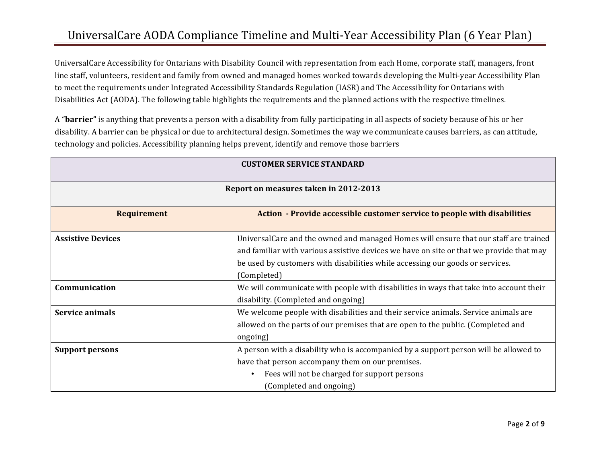# UniversalCare AODA Compliance Timeline and Multi-Year Accessibility Plan (6 Year Plan)

UniversalCare Accessibility for Ontarians with Disability Council with representation from each Home, corporate staff, managers, front line staff, volunteers, resident and family from owned and managed homes worked towards developing the Multi-year Accessibility Plan to meet the requirements under Integrated Accessibility Standards Regulation (IASR) and The Accessibility for Ontarians with Disabilities Act (AODA). The following table highlights the requirements and the planned actions with the respective timelines.

A "**barrier"** is anything that prevents a person with a disability from fully participating in all aspects of society because of his or her disability. A barrier can be physical or due to architectural design. Sometimes the way we communicate causes barriers, as can attitude, technology and policies. Accessibility planning helps prevent, identify and remove those barriers

| <b>CUSTOMER SERVICE STANDARD</b>                                                               |                                                                                                                                                                                                                                                                                 |  |  |
|------------------------------------------------------------------------------------------------|---------------------------------------------------------------------------------------------------------------------------------------------------------------------------------------------------------------------------------------------------------------------------------|--|--|
| Report on measures taken in 2012-2013                                                          |                                                                                                                                                                                                                                                                                 |  |  |
| Action - Provide accessible customer service to people with disabilities<br><b>Requirement</b> |                                                                                                                                                                                                                                                                                 |  |  |
| <b>Assistive Devices</b>                                                                       | UniversalCare and the owned and managed Homes will ensure that our staff are trained<br>and familiar with various assistive devices we have on site or that we provide that may<br>be used by customers with disabilities while accessing our goods or services.<br>(Completed) |  |  |
| Communication                                                                                  | We will communicate with people with disabilities in ways that take into account their<br>disability. (Completed and ongoing)                                                                                                                                                   |  |  |
| <b>Service animals</b>                                                                         | We welcome people with disabilities and their service animals. Service animals are<br>allowed on the parts of our premises that are open to the public. (Completed and<br>ongoing)                                                                                              |  |  |
| <b>Support persons</b>                                                                         | A person with a disability who is accompanied by a support person will be allowed to<br>have that person accompany them on our premises.<br>Fees will not be charged for support persons<br>(Completed and ongoing)                                                             |  |  |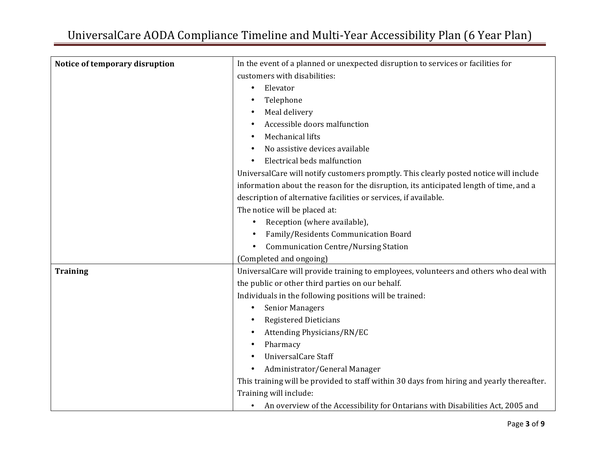| Notice of temporary disruption | In the event of a planned or unexpected disruption to services or facilities for          |
|--------------------------------|-------------------------------------------------------------------------------------------|
|                                | customers with disabilities:                                                              |
|                                | Elevator<br>$\bullet$                                                                     |
|                                | Telephone                                                                                 |
|                                | Meal delivery                                                                             |
|                                | Accessible doors malfunction                                                              |
|                                | Mechanical lifts                                                                          |
|                                | No assistive devices available                                                            |
|                                | Electrical beds malfunction                                                               |
|                                | UniversalCare will notify customers promptly. This clearly posted notice will include     |
|                                | information about the reason for the disruption, its anticipated length of time, and a    |
|                                | description of alternative facilities or services, if available.                          |
|                                | The notice will be placed at:                                                             |
|                                | Reception (where available),                                                              |
|                                | Family/Residents Communication Board                                                      |
|                                | <b>Communication Centre/Nursing Station</b>                                               |
|                                | (Completed and ongoing)                                                                   |
| <b>Training</b>                | UniversalCare will provide training to employees, volunteers and others who deal with     |
|                                | the public or other third parties on our behalf.                                          |
|                                | Individuals in the following positions will be trained:                                   |
|                                | <b>Senior Managers</b><br>$\bullet$                                                       |
|                                | <b>Registered Dieticians</b>                                                              |
|                                | Attending Physicians/RN/EC                                                                |
|                                | Pharmacy                                                                                  |
|                                | <b>UniversalCare Staff</b>                                                                |
|                                | Administrator/General Manager                                                             |
|                                | This training will be provided to staff within 30 days from hiring and yearly thereafter. |
|                                | Training will include:                                                                    |
|                                | An overview of the Accessibility for Ontarians with Disabilities Act, 2005 and            |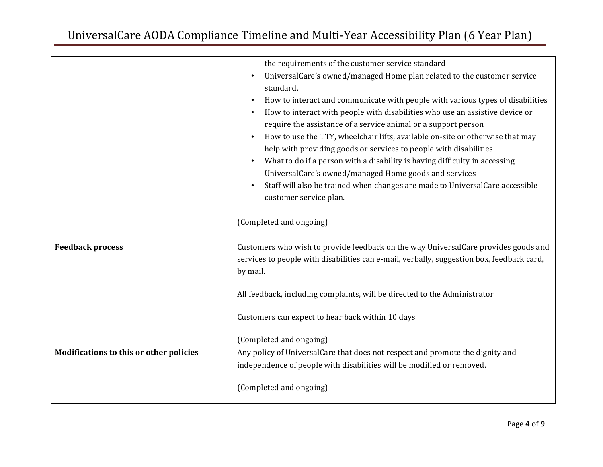|                                                | the requirements of the customer service standard<br>UniversalCare's owned/managed Home plan related to the customer service<br>standard.<br>How to interact and communicate with people with various types of disabilities<br>How to interact with people with disabilities who use an assistive device or<br>require the assistance of a service animal or a support person<br>How to use the TTY, wheelchair lifts, available on-site or otherwise that may<br>help with providing goods or services to people with disabilities<br>What to do if a person with a disability is having difficulty in accessing<br>UniversalCare's owned/managed Home goods and services<br>Staff will also be trained when changes are made to UniversalCare accessible<br>customer service plan.<br>(Completed and ongoing) |
|------------------------------------------------|-----------------------------------------------------------------------------------------------------------------------------------------------------------------------------------------------------------------------------------------------------------------------------------------------------------------------------------------------------------------------------------------------------------------------------------------------------------------------------------------------------------------------------------------------------------------------------------------------------------------------------------------------------------------------------------------------------------------------------------------------------------------------------------------------------------------|
| <b>Feedback process</b>                        | Customers who wish to provide feedback on the way UniversalCare provides goods and<br>services to people with disabilities can e-mail, verbally, suggestion box, feedback card,<br>by mail.                                                                                                                                                                                                                                                                                                                                                                                                                                                                                                                                                                                                                     |
|                                                | All feedback, including complaints, will be directed to the Administrator                                                                                                                                                                                                                                                                                                                                                                                                                                                                                                                                                                                                                                                                                                                                       |
|                                                | Customers can expect to hear back within 10 days                                                                                                                                                                                                                                                                                                                                                                                                                                                                                                                                                                                                                                                                                                                                                                |
|                                                | (Completed and ongoing)                                                                                                                                                                                                                                                                                                                                                                                                                                                                                                                                                                                                                                                                                                                                                                                         |
| <b>Modifications to this or other policies</b> | Any policy of UniversalCare that does not respect and promote the dignity and                                                                                                                                                                                                                                                                                                                                                                                                                                                                                                                                                                                                                                                                                                                                   |
|                                                | independence of people with disabilities will be modified or removed.                                                                                                                                                                                                                                                                                                                                                                                                                                                                                                                                                                                                                                                                                                                                           |
|                                                | (Completed and ongoing)                                                                                                                                                                                                                                                                                                                                                                                                                                                                                                                                                                                                                                                                                                                                                                                         |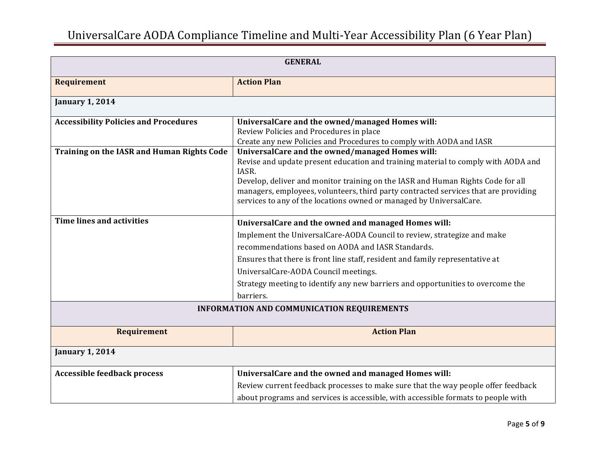| <b>GENERAL</b>                               |                                                                                            |
|----------------------------------------------|--------------------------------------------------------------------------------------------|
| <b>Requirement</b>                           | <b>Action Plan</b>                                                                         |
| <b>January 1, 2014</b>                       |                                                                                            |
| <b>Accessibility Policies and Procedures</b> | UniversalCare and the owned/managed Homes will:                                            |
|                                              | Review Policies and Procedures in place                                                    |
|                                              | Create any new Policies and Procedures to comply with AODA and IASR                        |
| Training on the IASR and Human Rights Code   | UniversalCare and the owned/managed Homes will:                                            |
|                                              | Revise and update present education and training material to comply with AODA and<br>IASR. |
|                                              | Develop, deliver and monitor training on the IASR and Human Rights Code for all            |
|                                              | managers, employees, volunteers, third party contracted services that are providing        |
|                                              | services to any of the locations owned or managed by UniversalCare.                        |
|                                              |                                                                                            |
| <b>Time lines and activities</b>             | UniversalCare and the owned and managed Homes will:                                        |
|                                              | Implement the UniversalCare-AODA Council to review, strategize and make                    |
|                                              | recommendations based on AODA and IASR Standards.                                          |
|                                              | Ensures that there is front line staff, resident and family representative at              |
|                                              | UniversalCare-AODA Council meetings.                                                       |
|                                              | Strategy meeting to identify any new barriers and opportunities to overcome the            |
|                                              | barriers.                                                                                  |
| INFORMATION AND COMMUNICATION REQUIREMENTS   |                                                                                            |
| <b>Requirement</b>                           | <b>Action Plan</b>                                                                         |
|                                              |                                                                                            |
| <b>January 1, 2014</b>                       |                                                                                            |
| <b>Accessible feedback process</b>           | UniversalCare and the owned and managed Homes will:                                        |
|                                              | Review current feedback processes to make sure that the way people offer feedback          |
|                                              | about programs and services is accessible, with accessible formats to people with          |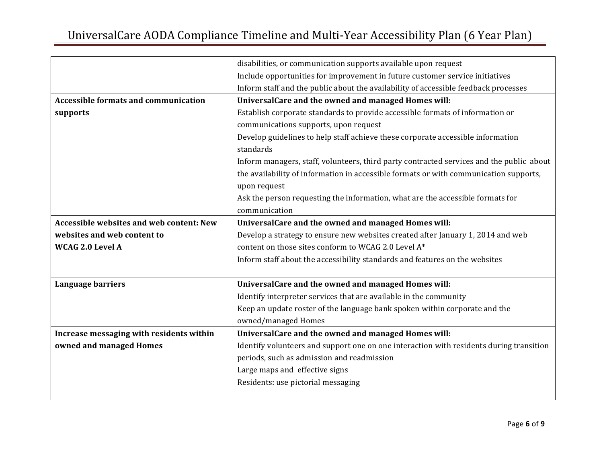|                                                 | disabilities, or communication supports available upon request                           |
|-------------------------------------------------|------------------------------------------------------------------------------------------|
|                                                 | Include opportunities for improvement in future customer service initiatives             |
|                                                 | Inform staff and the public about the availability of accessible feedback processes      |
| <b>Accessible formats and communication</b>     | UniversalCare and the owned and managed Homes will:                                      |
| supports                                        | Establish corporate standards to provide accessible formats of information or            |
|                                                 | communications supports, upon request                                                    |
|                                                 | Develop guidelines to help staff achieve these corporate accessible information          |
|                                                 | standards                                                                                |
|                                                 | Inform managers, staff, volunteers, third party contracted services and the public about |
|                                                 | the availability of information in accessible formats or with communication supports,    |
|                                                 | upon request                                                                             |
|                                                 | Ask the person requesting the information, what are the accessible formats for           |
|                                                 | communication                                                                            |
| <b>Accessible websites and web content: New</b> | UniversalCare and the owned and managed Homes will:                                      |
| websites and web content to                     | Develop a strategy to ensure new websites created after January 1, 2014 and web          |
| WCAG 2.0 Level A                                | content on those sites conform to WCAG 2.0 Level A*                                      |
|                                                 | Inform staff about the accessibility standards and features on the websites              |
|                                                 |                                                                                          |
| Language barriers                               | UniversalCare and the owned and managed Homes will:                                      |
|                                                 | Identify interpreter services that are available in the community                        |
|                                                 | Keep an update roster of the language bank spoken within corporate and the               |
|                                                 | owned/managed Homes                                                                      |
| Increase messaging with residents within        | UniversalCare and the owned and managed Homes will:                                      |
| owned and managed Homes                         | Identify volunteers and support one on one interaction with residents during transition  |
|                                                 | periods, such as admission and readmission                                               |
|                                                 | Large maps and effective signs                                                           |
|                                                 | Residents: use pictorial messaging                                                       |
|                                                 |                                                                                          |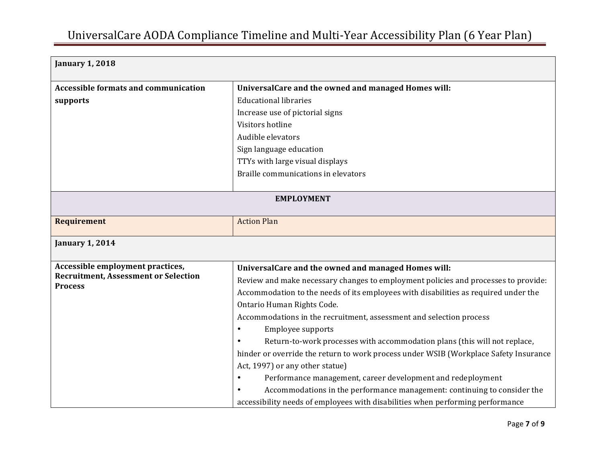| <b>January 1, 2018</b>                                        |                                                                                       |  |
|---------------------------------------------------------------|---------------------------------------------------------------------------------------|--|
| <b>Accessible formats and communication</b>                   | UniversalCare and the owned and managed Homes will:                                   |  |
| supports                                                      | <b>Educational libraries</b>                                                          |  |
|                                                               | Increase use of pictorial signs                                                       |  |
|                                                               | Visitors hotline                                                                      |  |
|                                                               | Audible elevators                                                                     |  |
|                                                               | Sign language education                                                               |  |
|                                                               | TTYs with large visual displays                                                       |  |
|                                                               | Braille communications in elevators                                                   |  |
|                                                               |                                                                                       |  |
| <b>EMPLOYMENT</b>                                             |                                                                                       |  |
| <b>Requirement</b>                                            | <b>Action Plan</b>                                                                    |  |
| <b>January 1, 2014</b>                                        |                                                                                       |  |
| Accessible employment practices,                              | UniversalCare and the owned and managed Homes will:                                   |  |
| <b>Recruitment, Assessment or Selection</b><br><b>Process</b> | Review and make necessary changes to employment policies and processes to provide:    |  |
|                                                               | Accommodation to the needs of its employees with disabilities as required under the   |  |
|                                                               | Ontario Human Rights Code.                                                            |  |
|                                                               | Accommodations in the recruitment, assessment and selection process                   |  |
|                                                               | Employee supports<br>$\bullet$                                                        |  |
|                                                               | Return-to-work processes with accommodation plans (this will not replace,             |  |
|                                                               | hinder or override the return to work process under WSIB (Workplace Safety Insurance  |  |
|                                                               | Act, 1997) or any other statue)                                                       |  |
|                                                               | Performance management, career development and redeployment<br>$\bullet$              |  |
|                                                               | Accommodations in the performance management: continuing to consider the<br>$\bullet$ |  |
|                                                               | accessibility needs of employees with disabilities when performing performance        |  |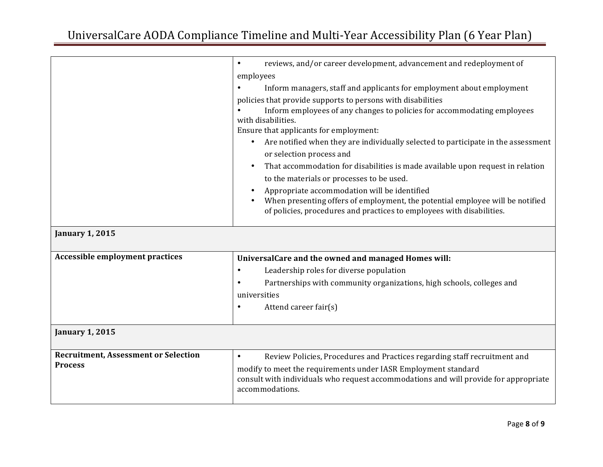|                                                               | reviews, and/or career development, advancement and redeployment of<br>$\bullet$                        |
|---------------------------------------------------------------|---------------------------------------------------------------------------------------------------------|
|                                                               | employees                                                                                               |
|                                                               | Inform managers, staff and applicants for employment about employment                                   |
|                                                               | policies that provide supports to persons with disabilities                                             |
|                                                               | Inform employees of any changes to policies for accommodating employees                                 |
|                                                               | with disabilities.<br>Ensure that applicants for employment:                                            |
|                                                               | Are notified when they are individually selected to participate in the assessment                       |
|                                                               | or selection process and                                                                                |
|                                                               | That accommodation for disabilities is made available upon request in relation                          |
|                                                               | to the materials or processes to be used.                                                               |
|                                                               | Appropriate accommodation will be identified                                                            |
|                                                               | When presenting offers of employment, the potential employee will be notified                           |
|                                                               | of policies, procedures and practices to employees with disabilities.                                   |
| <b>January 1, 2015</b>                                        |                                                                                                         |
|                                                               |                                                                                                         |
| Accessible employment practices                               | UniversalCare and the owned and managed Homes will:                                                     |
|                                                               | Leadership roles for diverse population<br>$\bullet$                                                    |
|                                                               | Partnerships with community organizations, high schools, colleges and                                   |
|                                                               | universities                                                                                            |
|                                                               | Attend career fair(s)<br>$\bullet$                                                                      |
|                                                               |                                                                                                         |
| <b>January 1, 2015</b>                                        |                                                                                                         |
|                                                               |                                                                                                         |
| <b>Recruitment, Assessment or Selection</b><br><b>Process</b> | Review Policies, Procedures and Practices regarding staff recruitment and<br>$\bullet$                  |
|                                                               | modify to meet the requirements under IASR Employment standard                                          |
|                                                               | consult with individuals who request accommodations and will provide for appropriate<br>accommodations. |
|                                                               |                                                                                                         |